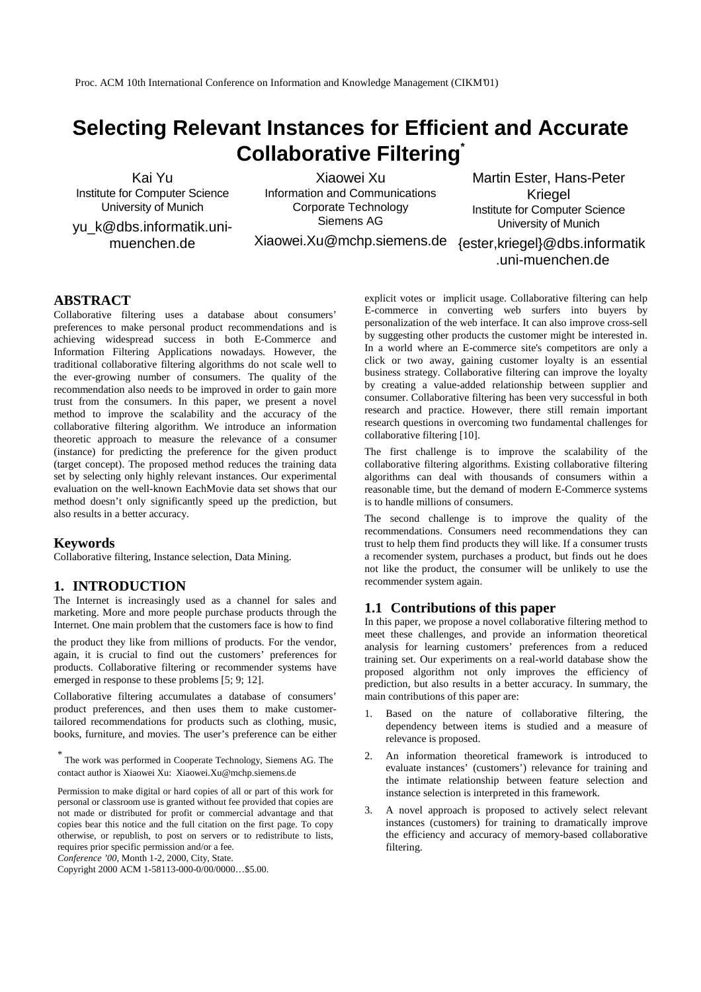Proc. ACM 10th International Conference on Information and Knowledge Management (CIKM'01)

# **Selecting Relevant Instances for Efficient and Accurate Collaborative Filtering \***

Kai Yu Institute for Computer Science University of Munich

yu\_k@dbs.informatik.unimuenchen.de

Xiaowei Xu Information and Communications Corporate Technology Siemens AG

Xiaowei.Xu@mchp.siemens.de {ester,kriegel}@dbs.informatik

Martin Ester, Hans-Peter Kriegel Institute for Computer Science University of Munich

.uni-muenchen.de

# **ABSTRACT**

Collaborative filtering uses a database about consumers' preferences to make personal product recommendations and is achieving widespread success in both E-Commerce and Information Filtering Applications nowadays. However, the traditional collaborative filtering algorithms do not scale well to the ever-growing number of consumers. The quality of the recommendation also needs to be improved in order to gain more trust from the consumers. In this paper, we present a novel method to improve the scalability and the accuracy of the collaborative filtering algorithm. We introduce an information theoretic approach to measure the relevance of a consumer (instance) for predicting the preference for the given product (target concept). The proposed method reduces the training data set by selecting only highly relevant instances. Our experimental evaluation on the well-known EachMovie data set shows that our method doesn't only significantly speed up the prediction, but also results in a better accuracy.

#### **Keywords**

Collaborative filtering, Instance selection, Data Mining.

# **1. INTRODUCTION**

The Internet is increasingly used as a channel for sales and marketing. More and more people purchase products through the Internet. One main problem that the customers face is how to find

the product they like from millions of products. For the vendor, again, it is crucial to find out the customers' preferences for products. Collaborative filtering or recommender systems have emerged in response to these problems [5; 9; 12].

Collaborative filtering accumulates a database of consumers' product preferences, and then uses them to make customertailored recommendations for products such as clothing, music, books, furniture, and movies. The user's preference can be either

\* The work was performed in Cooperate Technology, Siemens AG. The contact author is Xiaowei Xu: Xiaowei.Xu@mchp.siemens.de

Permission to make digital or hard copies of all or part of this work for personal or classroom use is granted without fee provided that copies are not made or distributed for profit or commercial advantage and that copies bear this notice and the full citation on the first page. To copy otherwise, or republish, to post on servers or to redistribute to lists, requires prior specific permission and/or a fee.

*Conference '00*, Month 1-2, 2000, City, State.

Copyright 2000 ACM 1-58113-000-0/00/0000…\$5.00.

explicit votes or implicit usage. Collaborative filtering can help E-commerce in converting web surfers into buyers by personalization of the web interface. It can also improve cross-sell by suggesting other products the customer might be interested in. In a world where an E-commerce site's competitors are only a click or two away, gaining customer loyalty is an essential business strategy. Collaborative filtering can improve the loyalty by creating a value-added relationship between supplier and consumer. Collaborative filtering has been very successful in both research and practice. However, there still remain important research questions in overcoming two fundamental challenges for collaborative filtering [10].

The first challenge is to improve the scalability of the collaborative filtering algorithms. Existing collaborative filtering algorithms can deal with thousands of consumers within a reasonable time, but the demand of modern E-Commerce systems is to handle millions of consumers.

The second challenge is to improve the quality of the recommendations. Consumers need recommendations they can trust to help them find products they will like. If a consumer trusts a recomender system, purchases a product, but finds out he does not like the product, the consumer will be unlikely to use the recommender system again.

## **1.1 Contributions of this paper**

In this paper, we propose a novel collaborative filtering method to meet these challenges, and provide an information theoretical analysis for learning customers' preferences from a reduced training set. Our experiments on a real-world database show the proposed algorithm not only improves the efficiency of prediction, but also results in a better accuracy. In summary, the main contributions of this paper are:

- Based on the nature of collaborative filtering, the dependency between items is studied and a measure of relevance is proposed.
- 2. An information theoretical framework is introduced to evaluate instances' (customers') relevance for training and the intimate relationship between feature selection and instance selection is interpreted in this framework.
- 3. A novel approach is proposed to actively select relevant instances (customers) for training to dramatically improve the efficiency and accuracy of memory-based collaborative filtering.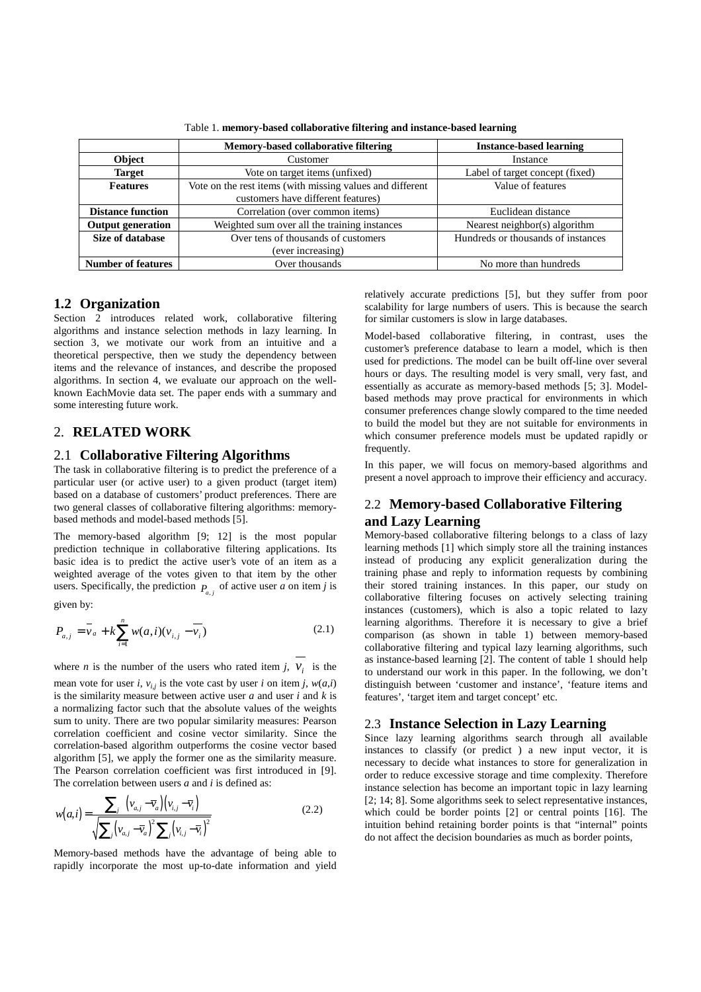|                           | <b>Memory-based collaborative filtering</b>               | <b>Instance-based learning</b>     |  |
|---------------------------|-----------------------------------------------------------|------------------------------------|--|
| Object                    | Customer                                                  | Instance                           |  |
| <b>Target</b>             | Vote on target items (unfixed)                            | Label of target concept (fixed)    |  |
| <b>Features</b>           | Vote on the rest items (with missing values and different | Value of features                  |  |
|                           | customers have different features)                        |                                    |  |
| <b>Distance function</b>  | Correlation (over common items)                           | Euclidean distance                 |  |
| <b>Output generation</b>  | Weighted sum over all the training instances              | Nearest neighbor(s) algorithm      |  |
| <b>Size of database</b>   | Over tens of thousands of customers                       | Hundreds or thousands of instances |  |
|                           | (ever increasing)                                         |                                    |  |
| <b>Number of features</b> | Over thousands                                            | No more than hundreds              |  |

Table 1. **memory-based collaborative filtering and instance-based learning**

# **1.2 Organization**

Section 2 introduces related work, collaborative filtering algorithms and instance selection methods in lazy learning. In section 3, we motivate our work from an intuitive and a theoretical perspective, then we study the dependency between items and the relevance of instances, and describe the proposed algorithms. In section 4, we evaluate our approach on the wellknown EachMovie data set. The paper ends with a summary and some interesting future work.

# 2. **RELATED WORK**

#### 2.1 **Collaborative Filtering Algorithms**

The task in collaborative filtering is to predict the preference of a particular user (or active user) to a given product (target item) based on a database of customers' product preferences. There are two general classes of collaborative filtering algorithms: memorybased methods and model-based methods [5].

The memory-based algorithm [9; 12] is the most popular prediction technique in collaborative filtering applications. Its basic idea is to predict the active user's vote of an item as a weighted average of the votes given to that item by the other users. Specifically, the prediction  $P_{a,j}$  of active user *a* on item *j* is

given by:

$$
P_{a,j} = \bar{v}_a + k \sum_{i=1}^{n} w(a,i)(v_{i,j} - \bar{v}_i)
$$
 (2.1)

where *n* is the number of the users who rated item *j*,  $v_i$  is the

mean vote for user *i*,  $v_{i,j}$  is the vote cast by user *i* on item *j*,  $w(a,i)$ is the similarity measure between active user *a* and user *i* and *k* is a normalizing factor such that the absolute values of the weights sum to unity. There are two popular similarity measures: Pearson correlation coefficient and cosine vector similarity. Since the correlation-based algorithm outperforms the cosine vector based algorithm [5], we apply the former one as the similarity measure. The Pearson correlation coefficient was first introduced in [9]. The correlation between users *a* and *i* is defined as:

$$
w(a,i) = \frac{\sum_{j} \left( v_{a,j} - \overline{v}_a \right) \left( v_{i,j} - \overline{v}_i \right)}{\sqrt{\sum_{j} \left( v_{a,j} - \overline{v}_a \right)^2 \sum_{j} \left( v_{i,j} - \overline{v}_i \right)^2}}
$$
(2.2)

Memory-based methods have the advantage of being able to rapidly incorporate the most up-to-date information and yield

relatively accurate predictions [5], but they suffer from poor scalability for large numbers of users. This is because the search for similar customers is slow in large databases.

Model-based collaborative filtering, in contrast, uses the customer's preference database to learn a model, which is then used for predictions. The model can be built off-line over several hours or days. The resulting model is very small, very fast, and essentially as accurate as memory-based methods [5; 3]. Modelbased methods may prove practical for environments in which consumer preferences change slowly compared to the time needed to build the model but they are not suitable for environments in which consumer preference models must be updated rapidly or frequently.

In this paper, we will focus on memory-based algorithms and present a novel approach to improve their efficiency and accuracy.

# 2.2 **Memory-based Collaborative Filtering and Lazy Learning**

Memory-based collaborative filtering belongs to a class of lazy learning methods [1] which simply store all the training instances instead of producing any explicit generalization during the training phase and reply to information requests by combining their stored training instances. In this paper, our study on collaborative filtering focuses on actively selecting training instances (customers), which is also a topic related to lazy learning algorithms. Therefore it is necessary to give a brief comparison (as shown in table 1) between memory-based collaborative filtering and typical lazy learning algorithms, such as instance-based learning [2]. The content of table 1 should help to understand our work in this paper. In the following, we don't distinguish between 'customer and instance', 'feature items and features', 'target item and target concept' etc.

## 2.3 **Instance Selection in Lazy Learning**

Since lazy learning algorithms search through all available instances to classify (or predict ) a new input vector, it is necessary to decide what instances to store for generalization in order to reduce excessive storage and time complexity. Therefore instance selection has become an important topic in lazy learning [2; 14; 8]. Some algorithms seek to select representative instances, which could be border points [2] or central points [16]. The intuition behind retaining border points is that "internal" points do not affect the decision boundaries as much as border points,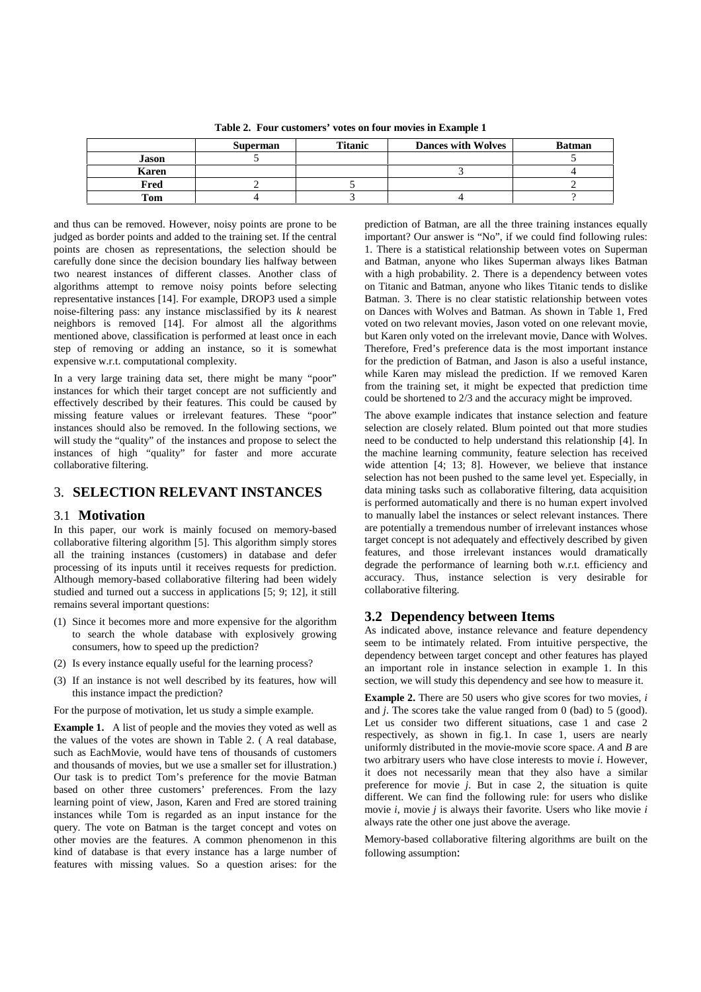|       | <b>Superman</b> | Titanic | <b>Dances with Wolves</b> | <b>Batman</b> |
|-------|-----------------|---------|---------------------------|---------------|
| Jason |                 |         |                           |               |
| Karen |                 |         |                           |               |
| Fred  |                 |         |                           |               |
| Tom   |                 |         |                           |               |

**Table 2. Four customers' votes on four movies in Example 1**

and thus can be removed. However, noisy points are prone to be judged as border points and added to the training set. If the central points are chosen as representations, the selection should be carefully done since the decision boundary lies halfway between two nearest instances of different classes. Another class of algorithms attempt to remove noisy points before selecting representative instances [14]. For example, DROP3 used a simple noise-filtering pass: any instance misclassified by its *k* nearest neighbors is removed [14]. For almost all the algorithms mentioned above, classification is performed at least once in each step of removing or adding an instance, so it is somewhat expensive w.r.t. computational complexity.

In a very large training data set, there might be many "poor" instances for which their target concept are not sufficiently and effectively described by their features. This could be caused by missing feature values or irrelevant features. These "poor" instances should also be removed. In the following sections, we will study the "quality" of the instances and propose to select the instances of high "quality" for faster and more accurate collaborative filtering.

# 3. **SELECTION RELEVANT INSTANCES**

#### 3.1 **Motivation**

In this paper, our work is mainly focused on memory-based collaborative filtering algorithm [5]. This algorithm simply stores all the training instances (customers) in database and defer processing of its inputs until it receives requests for prediction. Although memory-based collaborative filtering had been widely studied and turned out a success in applications [5; 9; 12], it still remains several important questions:

- (1) Since it becomes more and more expensive for the algorithm to search the whole database with explosively growing consumers, how to speed up the prediction?
- (2) Is every instance equally useful for the learning process?
- (3) If an instance is not well described by its features, how will this instance impact the prediction?

For the purpose of motivation, let us study a simple example.

**Example 1.** A list of people and the movies they voted as well as the values of the votes are shown in Table 2. ( A real database, such as EachMovie, would have tens of thousands of customers and thousands of movies, but we use a smaller set for illustration.) Our task is to predict Tom's preference for the movie Batman based on other three customers' preferences. From the lazy learning point of view, Jason, Karen and Fred are stored training instances while Tom is regarded as an input instance for the query. The vote on Batman is the target concept and votes on other movies are the features. A common phenomenon in this kind of database is that every instance has a large number of features with missing values. So a question arises: for the prediction of Batman, are all the three training instances equally important? Our answer is "No", if we could find following rules: 1. There is a statistical relationship between votes on Superman and Batman, anyone who likes Superman always likes Batman with a high probability. 2. There is a dependency between votes on Titanic and Batman, anyone who likes Titanic tends to dislike Batman. 3. There is no clear statistic relationship between votes on Dances with Wolves and Batman. As shown in Table 1, Fred voted on two relevant movies, Jason voted on one relevant movie, but Karen only voted on the irrelevant movie, Dance with Wolves. Therefore, Fred's preference data is the most important instance for the prediction of Batman, and Jason is also a useful instance, while Karen may mislead the prediction. If we removed Karen from the training set, it might be expected that prediction time could be shortened to 2/3 and the accuracy might be improved.

The above example indicates that instance selection and feature selection are closely related. Blum pointed out that more studies need to be conducted to help understand this relationship [4]. In the machine learning community, feature selection has received wide attention [4; 13; 8]. However, we believe that instance selection has not been pushed to the same level yet. Especially, in data mining tasks such as collaborative filtering, data acquisition is performed automatically and there is no human expert involved to manually label the instances or select relevant instances. There are potentially a tremendous number of irrelevant instances whose target concept is not adequately and effectively described by given features, and those irrelevant instances would dramatically degrade the performance of learning both w.r.t. efficiency and accuracy. Thus, instance selection is very desirable for collaborative filtering.

# **3.2 Dependency between Items**

As indicated above, instance relevance and feature dependency seem to be intimately related. From intuitive perspective, the dependency between target concept and other features has played an important role in instance selection in example 1. In this section, we will study this dependency and see how to measure it.

**Example 2.** There are 50 users who give scores for two movies, *i* and *j*. The scores take the value ranged from 0 (bad) to 5 (good). Let us consider two different situations, case 1 and case 2 respectively, as shown in fig.1. In case 1, users are nearly uniformly distributed in the movie-movie score space. *A* and *B* are two arbitrary users who have close interests to movie *i*. However, it does not necessarily mean that they also have a similar preference for movie *j*. But in case 2, the situation is quite different. We can find the following rule: for users who dislike movie *i*, movie *j* is always their favorite. Users who like movie *i* always rate the other one just above the average.

Memory-based collaborative filtering algorithms are built on the following assumption: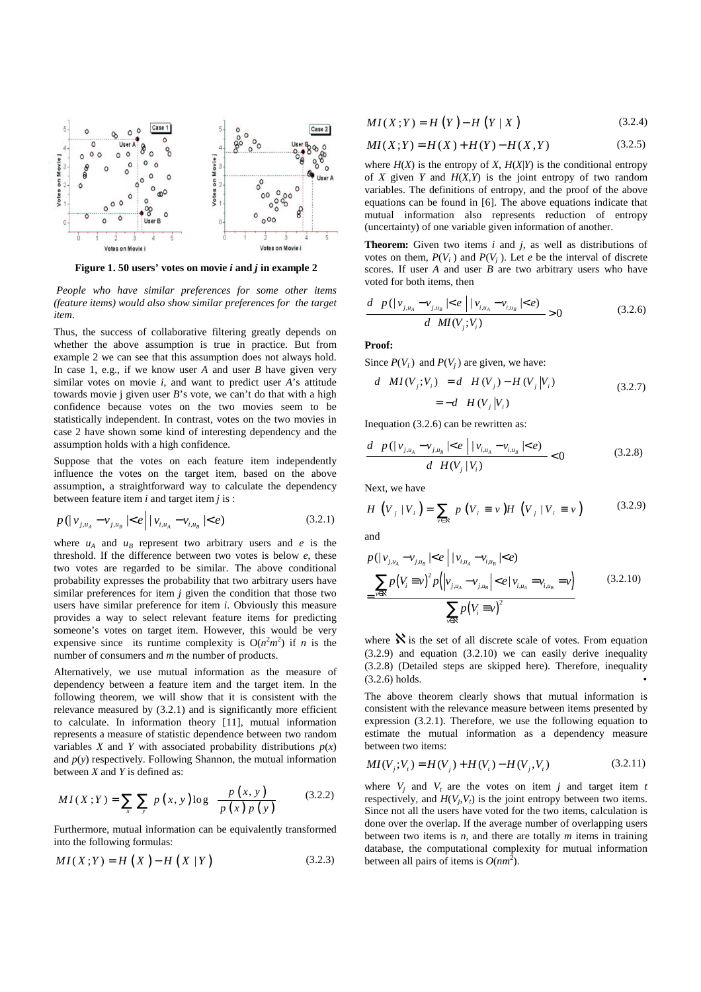

**Figure 1. 50 users' votes on movie** *i* **and** *j* **in example 2**

*People who have similar preferences for some other items (feature items) would also show similar preferences for the target item*.

Thus, the success of collaborative filtering greatly depends on whether the above assumption is true in practice. But from example 2 we can see that this assumption does not always hold. In case 1, e.g., if we know user *A* and user *B* have given very similar votes on movie *i*, and want to predict user *A*'s attitude towards movie j given user *B*'s vote, we can't do that with a high confidence because votes on the two movies seem to be statistically independent. In contrast, votes on the two movies in case 2 have shown some kind of interesting dependency and the assumption holds with a high confidence.

Suppose that the votes on each feature item independently influence the votes on the target item, based on the above assumption, a straightforward way to calculate the dependency between feature item *i* and target item *j* is :

$$
p(|v_{j,u_A} - v_{j,u_B}| < e \mid |v_{i,u_A} - v_{i,u_B}| < e) \tag{3.2.1}
$$

where  $u_A$  and  $u_B$  represent two arbitrary users and *e* is the threshold. If the difference between two votes is below *e*, these two votes are regarded to be similar. The above conditional probability expresses the probability that two arbitrary users have similar preferences for item *j* given the condition that those two users have similar preference for item *i*. Obviously this measure provides a way to select relevant feature items for predicting someone's votes on target item. However, this would be very expensive since its runtime complexity is  $O(n^2m^2)$  if *n* is the number of consumers and *m* the number of products.

Alternatively, we use mutual information as the measure of dependency between a feature item and the target item. In the following theorem, we will show that it is consistent with the relevance measured by (3.2.1) and is significantly more efficient to calculate. In information theory [11], mutual information represents a measure of statistic dependence between two random variables *X* and *Y* with associated probability distributions  $p(x)$ and  $p(y)$  respectively. Following Shannon, the mutual information between *X* and *Y* is defined as:

$$
MI(X;Y) = \sum_{x} \sum_{y} p(x, y) \log \left( \frac{p(x, y)}{p(x) p(y)} \right)
$$
(3.2.2)

Furthermore, mutual information can be equivalently transformed into the following formulas:

$$
MI(X;Y) = H(X) - H(X|Y)
$$
 (3.2.3)

$$
MI(X;Y) = H(Y) - H(Y|X)
$$
 (3.2.4)

$$
MI(X;Y) = H(X) + H(Y) - H(X,Y)
$$
\n(3.2.5)

where  $H(X)$  is the entropy of *X*,  $H(X|Y)$  is the conditional entropy of *X* given *Y* and  $H(X,Y)$  is the joint entropy of two random variables. The definitions of entropy, and the proof of the above equations can be found in [6]. The above equations indicate that mutual information also represents reduction of entropy (uncertainty) of one variable given information of another.

**Theorem:** Given two items *i* and *j*, as well as distributions of votes on them,  $P(V_i)$  and  $P(V_j)$ . Let *e* be the interval of discrete scores. If user *A* and user *B* are two arbitrary users who have voted for both items, then

$$
\frac{d\left[\,p\,(|\,\mathbf{v}_{j,\mathbf{u}_{A}}-\mathbf{v}_{j,\mathbf{u}_{B}}|\leq e\,||\,\mathbf{v}_{i,\mathbf{u}_{A}}-\mathbf{v}_{i,\mathbf{u}_{B}}|\leq e)\,\right]}{d\left[\,MI(V_{j};V_{i})\,\right]}>0\tag{3.2.6}
$$

**Proof:**

Since  $P(V_i)$  and  $P(V_j)$  are given, we have:

$$
d\left[MI(V_j; V_i)\right] = d\left[H(V_j) - H(V_j|V_i)\right]
$$
  
= 
$$
-d\left[H(V_j|V_i)\right]
$$
 (3.2.7)

Inequation (3.2.6) can be rewritten as:

$$
\frac{d\left[p(|v_{j,u_A} - v_{j,u_B}| < e \mid |v_{i,u_A} - v_{i,u_B}| < e)\right]}{d\left[H(V_j | V_i)\right]} < 0 \tag{3.2.8}
$$

Next, we have

$$
H\left(V_{j} | V_{i}\right) = \sum_{v \in \mathbf{x}} p\left(V_{i} \equiv v\right) H\left(V_{j} | V_{i} \equiv v\right) \tag{3.2.9}
$$

and

$$
p(|v_{j,u_A} - v_{j,u_B}| < e | |v_{i,u_A} - v_{i,u_B}| < e)
$$
  
= 
$$
\frac{\sum_{v \in \mathbf{R}} p(V_i \equiv v)^2 p(|v_{j,u_A} - v_{j,u_B}| < e | v_{i,u_A} = v_{i,u_B} = v)}{\sum_{v \in \mathbf{R}} p(V_i \equiv v)^2}
$$
(3.2.10)

where  $\aleph$  is the set of all discrete scale of votes. From equation (3.2.9) and equation (3.2.10) we can easily derive inequality (3.2.8) (Detailed steps are skipped here). Therefore, inequality  $(3.2.6)$  holds.

The above theorem clearly shows that mutual information is consistent with the relevance measure between items presented by expression (3.2.1). Therefore, we use the following equation to estimate the mutual information as a dependency measure between two items:

$$
MI(V_j; V_t) = H(V_j) + H(V_t) - H(V_j, V_t)
$$
\n(3.2.11)

where  $V_i$  and  $V_t$  are the votes on item *j* and target item *t* respectively, and  $H(V_j, V_t)$  is the joint entropy between two items. Since not all the users have voted for the two items, calculation is done over the overlap. If the average number of overlapping users between two items is *n*, and there are totally *m* items in training database, the computational complexity for mutual information between all pairs of items is  $O(nm^2)$ .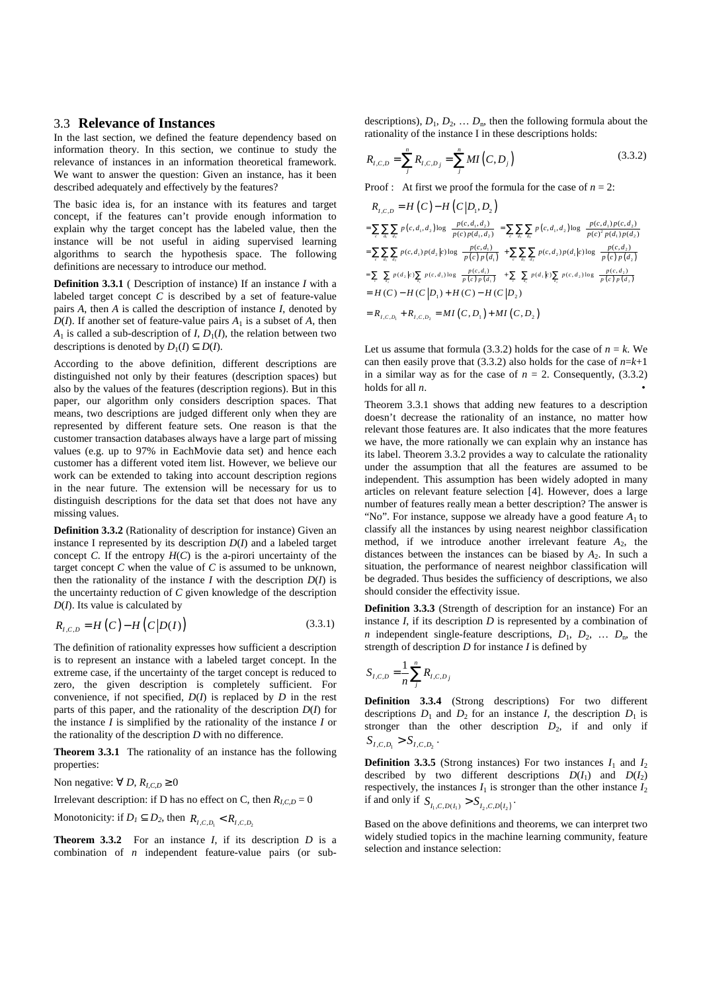## 3.3 **Relevance of Instances**

In the last section, we defined the feature dependency based on information theory. In this section, we continue to study the relevance of instances in an information theoretical framework. We want to answer the question: Given an instance, has it been described adequately and effectively by the features?

The basic idea is, for an instance with its features and target concept, if the features can't provide enough information to explain why the target concept has the labeled value, then the instance will be not useful in aiding supervised learning algorithms to search the hypothesis space. The following definitions are necessary to introduce our method.

**Definition 3.3.1** ( Description of instance) If an instance *I* with a labeled target concept *C* is described by a set of feature-value pairs *A*, then *A* is called the description of instance *I*, denoted by *D*(*I*). If another set of feature-value pairs  $A_1$  is a subset of  $A$ , then  $A_1$  is called a sub-description of *I*,  $D_1(I)$ , the relation between two descriptions is denoted by  $D_1(I) \subseteq D(I)$ .

According to the above definition, different descriptions are distinguished not only by their features (description spaces) but also by the values of the features (description regions). But in this paper, our algorithm only considers description spaces. That means, two descriptions are judged different only when they are represented by different feature sets. One reason is that the customer transaction databases always have a large part of missing values (e.g. up to 97% in EachMovie data set) and hence each customer has a different voted item list. However, we believe our work can be extended to taking into account description regions in the near future. The extension will be necessary for us to distinguish descriptions for the data set that does not have any missing values.

**Definition 3.3.2** (Rationality of description for instance) Given an instance I represented by its description *D*(*I*) and a labeled target concept *C*. If the entropy  $H(C)$  is the a-pirori uncertainty of the target concept *C* when the value of *C* is assumed to be unknown, then the rationality of the instance  $I$  with the description  $D(I)$  is the uncertainty reduction of *C* given knowledge of the description *D*(*I*). Its value is calculated by

$$
R_{I,C,D} = H(C) - H(C|D(I))
$$
\n(3.3.1)

The definition of rationality expresses how sufficient a description is to represent an instance with a labeled target concept. In the extreme case, if the uncertainty of the target concept is reduced to zero, the given description is completely sufficient. For convenience, if not specified,  $D(I)$  is replaced by  $D$  in the rest parts of this paper, and the rationality of the description *D*(*I*) for the instance *I* is simplified by the rationality of the instance *I* or the rationality of the description *D* with no difference.

**Theorem 3.3.1** The rationality of an instance has the following properties:

Non negative:  $\forall D, R_{I,C,D} \geq 0$ 

Irrelevant description: if D has no effect on C, then  $R_{\text{LCD}} = 0$ 

Monotonicity: if 
$$
D_1 \subseteq D_2
$$
, then  $R_{I,C,D_1} < R_{I,C,D_2}$ 

**Theorem 3.3.2** For an instance *I*, if its description *D* is a combination of *n* independent feature-value pairs (or sub-

descriptions),  $D_1, D_2, \ldots, D_n$ , then the following formula about the rationality of the instance I in these descriptions holds:

$$
R_{I,C,D} = \sum_{j}^{n} R_{I,C,D_j} = \sum_{j}^{n} MI(C, D_j)
$$
 (3.3.2)

Proof : At first we proof the formula for the case of  $n = 2$ :

$$
R_{I,C,D} = H(C) - H(C|D_1, D_2)
$$
  
\n
$$
= \sum_{c} \sum_{d_i} \sum_{d_2} p(c, d_1, d_2) \log \left( \frac{p(c, d_1, d_2)}{p(c) p(d_1, d_2)} \right) = \sum_{c} \sum_{d_i} \sum_{d_2} p(c, d_1, d_2) \log \left( \frac{p(c, d_1) p(c, d_2)}{p(c)^2 p(d_1) p(d_2)} \right)
$$
  
\n
$$
= \sum_{c} \sum_{d_i} \sum_{d_2} p(c, d_1) p(d_2|c) \log \left( \frac{p(c, d_1)}{p(c) p(d_1)} \right) + \sum_{c} \sum_{d_i} \sum_{d_2} p(c, d_2) p(d_1|c) \log \left( \frac{p(c, d_2)}{p(c) p(d_2)} \right)
$$
  
\n
$$
= \sum_{c} \left[ \sum_{d_i} p(d_2|c) \sum_{d_i} p(c, d_1) \log \left( \frac{p(c, d_1)}{p(c) p(d_1)} \right) \right] + \sum_{c} \left[ \sum_{d_i} p(d_1|c) \sum_{d_2} p(c, d_2) \log \left( \frac{p(c, d_2)}{p(c) p(d_2)} \right) \right]
$$
  
\n
$$
= H(C) - H(C|D_1) + H(C) - H(C|D_2)
$$
  
\n
$$
= R_{I,C,D_1} + R_{I,C,D_2} = MI(C, D_1) + MI(C, D_2)
$$

Let us assume that formula (3.3.2) holds for the case of  $n = k$ . We can then easily prove that (3.3.2) also holds for the case of  $n=k+1$ in a similar way as for the case of  $n = 2$ . Consequently, (3.3.2) holds for all *n*. •

Theorem 3.3.1 shows that adding new features to a description doesn't decrease the rationality of an instance, no matter how relevant those features are. It also indicates that the more features we have, the more rationally we can explain why an instance has its label. Theorem 3.3.2 provides a way to calculate the rationality under the assumption that all the features are assumed to be independent. This assumption has been widely adopted in many articles on relevant feature selection [4]. However, does a large number of features really mean a better description? The answer is "No". For instance, suppose we already have a good feature  $A_1$  to classify all the instances by using nearest neighbor classification method, if we introduce another irrelevant feature  $A_2$ , the distances between the instances can be biased by  $A_2$ . In such a situation, the performance of nearest neighbor classification will be degraded. Thus besides the sufficiency of descriptions, we also should consider the effectivity issue.

**Definition 3.3.3** (Strength of description for an instance) For an instance *I*, if its description *D* is represented by a combination of *n* independent single-feature descriptions,  $D_1$ ,  $D_2$ , ...  $D_n$ , the strength of description *D* for instance *I* is defined by

$$
S_{I,C,D} = \frac{1}{n} \sum_{j}^{n} R_{I,C,D_j}
$$

**Definition 3.3.4** (Strong descriptions) For two different descriptions  $D_1$  and  $D_2$  for an instance *I*, the description  $D_1$  is stronger than the other description  $D_2$ , if and only if  $S_{I,C,D_1} > S_{I,C,D_2}$ .

**Definition** 3.3.5 (Strong instances) For two instances  $I_1$  and  $I_2$ described by two different descriptions  $D(I_1)$  and  $D(I_2)$ respectively, the instances  $I_1$  is stronger than the other instance  $I_2$ if and only if  $S_{I_1, C, D(I_1)} > S_{I_2, C, D(I_2)}$ .

Based on the above definitions and theorems, we can interpret two widely studied topics in the machine learning community, feature selection and instance selection: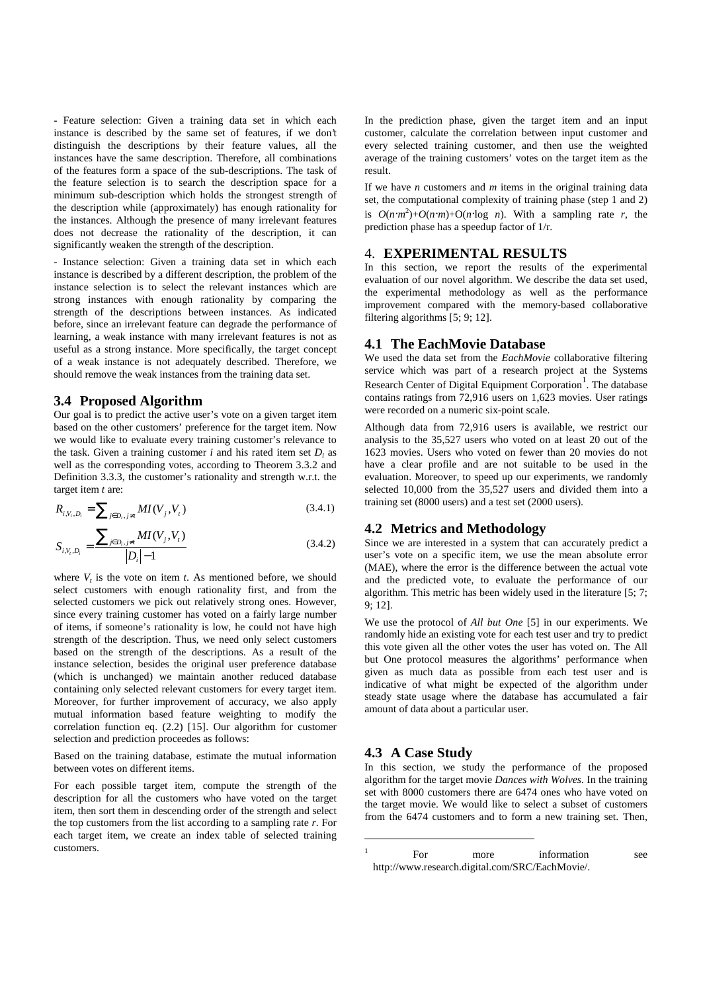- Feature selection: Given a training data set in which each instance is described by the same set of features, if we don't distinguish the descriptions by their feature values, all the instances have the same description. Therefore, all combinations of the features form a space of the sub-descriptions. The task of the feature selection is to search the description space for a minimum sub-description which holds the strongest strength of the description while (approximately) has enough rationality for the instances. Although the presence of many irrelevant features does not decrease the rationality of the description, it can significantly weaken the strength of the description.

- Instance selection: Given a training data set in which each instance is described by a different description, the problem of the instance selection is to select the relevant instances which are strong instances with enough rationality by comparing the strength of the descriptions between instances. As indicated before, since an irrelevant feature can degrade the performance of learning, a weak instance with many irrelevant features is not as useful as a strong instance. More specifically, the target concept of a weak instance is not adequately described. Therefore, we should remove the weak instances from the training data set.

#### **3.4 Proposed Algorithm**

Our goal is to predict the active user's vote on a given target item based on the other customers' preference for the target item. Now we would like to evaluate every training customer's relevance to the task. Given a training customer  $i$  and his rated item set  $D_i$  as well as the corresponding votes, according to Theorem 3.3.2 and Definition 3.3.3, the customer's rationality and strength w.r.t. the target item *t* are:

$$
R_{i,V_t,D_t} = \sum_{j \in D_t, j \neq t} MI(V_j, V_t)
$$
\n(3.4.1)

$$
S_{i,V_i,D_i} = \frac{\sum_{j \in D_i, j \neq i} MI(V_j, V_i)}{|D_i| - 1}
$$
\n(3.4.2)

where  $V_t$  is the vote on item  $t$ . As mentioned before, we should select customers with enough rationality first, and from the selected customers we pick out relatively strong ones. However, since every training customer has voted on a fairly large number of items, if someone's rationality is low, he could not have high strength of the description. Thus, we need only select customers based on the strength of the descriptions. As a result of the instance selection, besides the original user preference database (which is unchanged) we maintain another reduced database containing only selected relevant customers for every target item. Moreover, for further improvement of accuracy, we also apply mutual information based feature weighting to modify the correlation function eq. (2.2) [15]. Our algorithm for customer selection and prediction proceedes as follows:

Based on the training database, estimate the mutual information between votes on different items.

For each possible target item, compute the strength of the description for all the customers who have voted on the target item, then sort them in descending order of the strength and select the top customers from the list according to a sampling rate *r*. For each target item, we create an index table of selected training customers.

In the prediction phase, given the target item and an input customer, calculate the correlation between input customer and every selected training customer, and then use the weighted average of the training customers' votes on the target item as the result.

If we have *n* customers and *m* items in the original training data set, the computational complexity of training phase (step 1 and 2) is  $O(n \cdot m^2) + O(n \cdot m) + O(n \cdot \log n)$ . With a sampling rate *r*, the prediction phase has a speedup factor of 1/r.

#### 4. **EXPERIMENTAL RESULTS**

In this section, we report the results of the experimental evaluation of our novel algorithm. We describe the data set used, the experimental methodology as well as the performance improvement compared with the memory-based collaborative filtering algorithms [5; 9; 12].

#### **4.1 The EachMovie Database**

We used the data set from the *EachMovie* collaborative filtering service which was part of a research project at the Systems Research Center of Digital Equipment Corporation<sup>1</sup>. The database contains ratings from 72,916 users on 1,623 movies. User ratings were recorded on a numeric six-point scale.

Although data from 72,916 users is available, we restrict our analysis to the 35,527 users who voted on at least 20 out of the 1623 movies. Users who voted on fewer than 20 movies do not have a clear profile and are not suitable to be used in the evaluation. Moreover, to speed up our experiments, we randomly selected 10,000 from the 35,527 users and divided them into a training set (8000 users) and a test set (2000 users).

## **4.2 Metrics and Methodology**

Since we are interested in a system that can accurately predict a user's vote on a specific item, we use the mean absolute error (MAE), where the error is the difference between the actual vote and the predicted vote, to evaluate the performance of our algorithm. This metric has been widely used in the literature [5; 7; 9; 12].

We use the protocol of *All but One* [5] in our experiments. We randomly hide an existing vote for each test user and try to predict this vote given all the other votes the user has voted on. The All but One protocol measures the algorithms' performance when given as much data as possible from each test user and is indicative of what might be expected of the algorithm under steady state usage where the database has accumulated a fair amount of data about a particular user.

#### **4.3 A Case Study**

 $\overline{a}$ 

In this section, we study the performance of the proposed algorithm for the target movie *Dances with Wolves*. In the training set with 8000 customers there are 6474 ones who have voted on the target movie. We would like to select a subset of customers from the 6474 customers and to form a new training set. Then,

<sup>1</sup> For more information see http://www.research.digital.com/SRC/EachMovie/.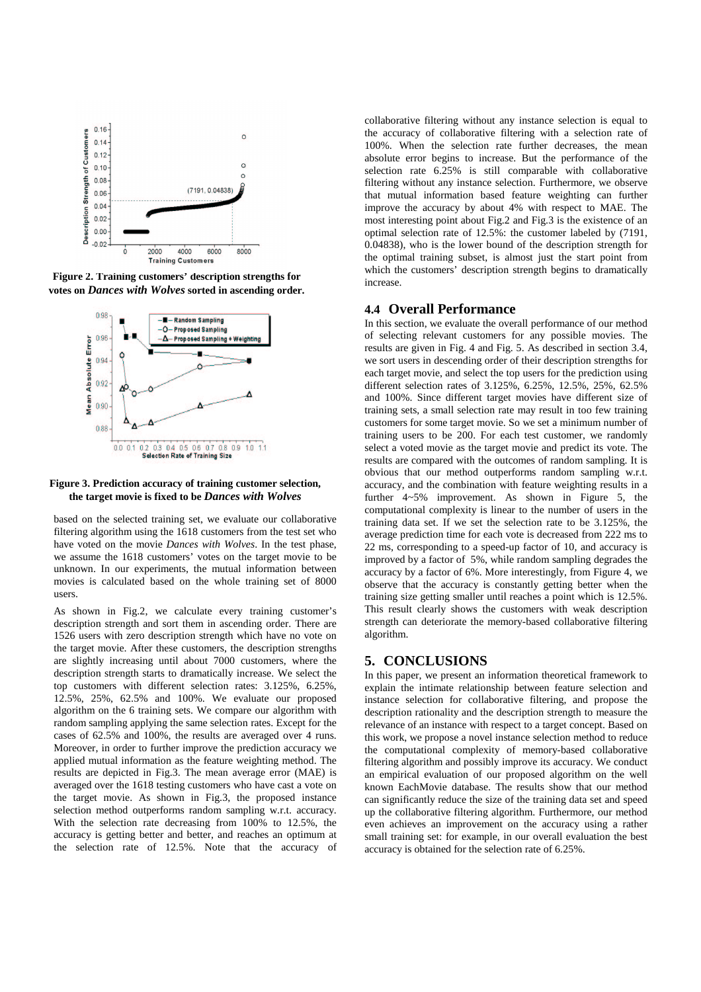

**Figure 2. Training customers' description strengths for votes on** *Dances with Wolves* **sorted in ascending order.**



#### **Figure 3. Prediction accuracy of training customer selection, the target movie is fixed to be** *Dances with Wolves*

based on the selected training set, we evaluate our collaborative filtering algorithm using the 1618 customers from the test set who have voted on the movie *Dances with Wolves*. In the test phase, we assume the 1618 customers' votes on the target movie to be unknown. In our experiments, the mutual information between movies is calculated based on the whole training set of 8000 users.

As shown in Fig.2, we calculate every training customer's description strength and sort them in ascending order. There are 1526 users with zero description strength which have no vote on the target movie. After these customers, the description strengths are slightly increasing until about 7000 customers, where the description strength starts to dramatically increase. We select the top customers with different selection rates: 3.125%, 6.25%, 12.5%, 25%, 62.5% and 100%. We evaluate our proposed algorithm on the 6 training sets. We compare our algorithm with random sampling applying the same selection rates. Except for the cases of 62.5% and 100%, the results are averaged over 4 runs. Moreover, in order to further improve the prediction accuracy we applied mutual information as the feature weighting method. The results are depicted in Fig.3. The mean average error (MAE) is averaged over the 1618 testing customers who have cast a vote on the target movie. As shown in Fig.3, the proposed instance selection method outperforms random sampling w.r.t. accuracy. With the selection rate decreasing from 100% to 12.5%, the accuracy is getting better and better, and reaches an optimum at the selection rate of 12.5%. Note that the accuracy of collaborative filtering without any instance selection is equal to the accuracy of collaborative filtering with a selection rate of 100%. When the selection rate further decreases, the mean absolute error begins to increase. But the performance of the selection rate 6.25% is still comparable with collaborative filtering without any instance selection. Furthermore, we observe that mutual information based feature weighting can further improve the accuracy by about 4% with respect to MAE. The most interesting point about Fig.2 and Fig.3 is the existence of an optimal selection rate of 12.5%: the customer labeled by (7191, 0.04838), who is the lower bound of the description strength for the optimal training subset, is almost just the start point from which the customers' description strength begins to dramatically increase.

#### **4.4 Overall Performance**

In this section, we evaluate the overall performance of our method of selecting relevant customers for any possible movies. The results are given in Fig. 4 and Fig. 5. As described in section 3.4, we sort users in descending order of their description strengths for each target movie, and select the top users for the prediction using different selection rates of 3.125%, 6.25%, 12.5%, 25%, 62.5% and 100%. Since different target movies have different size of training sets, a small selection rate may result in too few training customers for some target movie. So we set a minimum number of training users to be 200. For each test customer, we randomly select a voted movie as the target movie and predict its vote. The results are compared with the outcomes of random sampling. It is obvious that our method outperforms random sampling w.r.t. accuracy, and the combination with feature weighting results in a further 4~5% improvement. As shown in Figure 5, the computational complexity is linear to the number of users in the training data set. If we set the selection rate to be 3.125%, the average prediction time for each vote is decreased from 222 ms to 22 ms, corresponding to a speed-up factor of 10, and accuracy is improved by a factor of 5%, while random sampling degrades the accuracy by a factor of 6%. More interestingly, from Figure 4, we observe that the accuracy is constantly getting better when the training size getting smaller until reaches a point which is 12.5%. This result clearly shows the customers with weak description strength can deteriorate the memory-based collaborative filtering algorithm.

## **5. CONCLUSIONS**

In this paper, we present an information theoretical framework to explain the intimate relationship between feature selection and instance selection for collaborative filtering, and propose the description rationality and the description strength to measure the relevance of an instance with respect to a target concept. Based on this work, we propose a novel instance selection method to reduce the computational complexity of memory-based collaborative filtering algorithm and possibly improve its accuracy. We conduct an empirical evaluation of our proposed algorithm on the well known EachMovie database. The results show that our method can significantly reduce the size of the training data set and speed up the collaborative filtering algorithm. Furthermore, our method even achieves an improvement on the accuracy using a rather small training set: for example, in our overall evaluation the best accuracy is obtained for the selection rate of 6.25%.